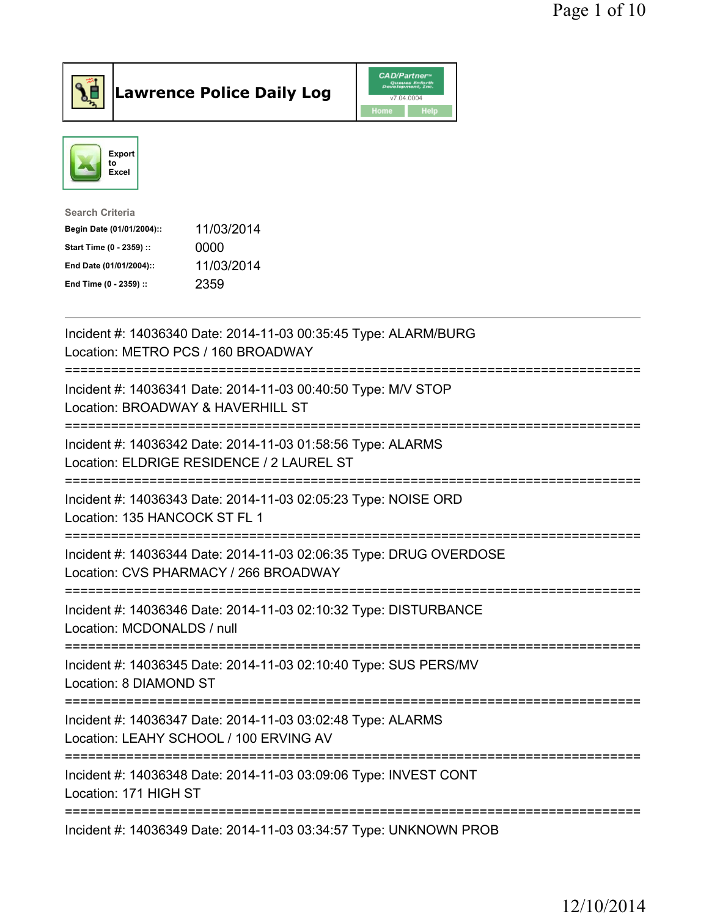



| <b>Search Criteria</b>    |            |
|---------------------------|------------|
| Begin Date (01/01/2004):: | 11/03/2014 |
| Start Time (0 - 2359) ::  | 0000       |
| End Date (01/01/2004)::   | 11/03/2014 |
| End Time (0 - 2359) ::    | 2359       |
|                           |            |

| Incident #: 14036340 Date: 2014-11-03 00:35:45 Type: ALARM/BURG<br>Location: METRO PCS / 160 BROADWAY                                        |
|----------------------------------------------------------------------------------------------------------------------------------------------|
| Incident #: 14036341 Date: 2014-11-03 00:40:50 Type: M/V STOP<br>Location: BROADWAY & HAVERHILL ST                                           |
| Incident #: 14036342 Date: 2014-11-03 01:58:56 Type: ALARMS<br>Location: ELDRIGE RESIDENCE / 2 LAUREL ST                                     |
| Incident #: 14036343 Date: 2014-11-03 02:05:23 Type: NOISE ORD<br>Location: 135 HANCOCK ST FL 1                                              |
| Incident #: 14036344 Date: 2014-11-03 02:06:35 Type: DRUG OVERDOSE<br>Location: CVS PHARMACY / 266 BROADWAY<br>============================  |
| Incident #: 14036346 Date: 2014-11-03 02:10:32 Type: DISTURBANCE<br>Location: MCDONALDS / null                                               |
| ======================================<br>Incident #: 14036345 Date: 2014-11-03 02:10:40 Type: SUS PERS/MV<br>Location: 8 DIAMOND ST         |
| -----------------------------------<br>Incident #: 14036347 Date: 2014-11-03 03:02:48 Type: ALARMS<br>Location: LEAHY SCHOOL / 100 ERVING AV |
| _________________________________<br>Incident #: 14036348 Date: 2014-11-03 03:09:06 Type: INVEST CONT<br>Location: 171 HIGH ST               |
| Incident #: 14036349 Date: 2014-11-03 03:34:57 Type: UNKNOWN PROB                                                                            |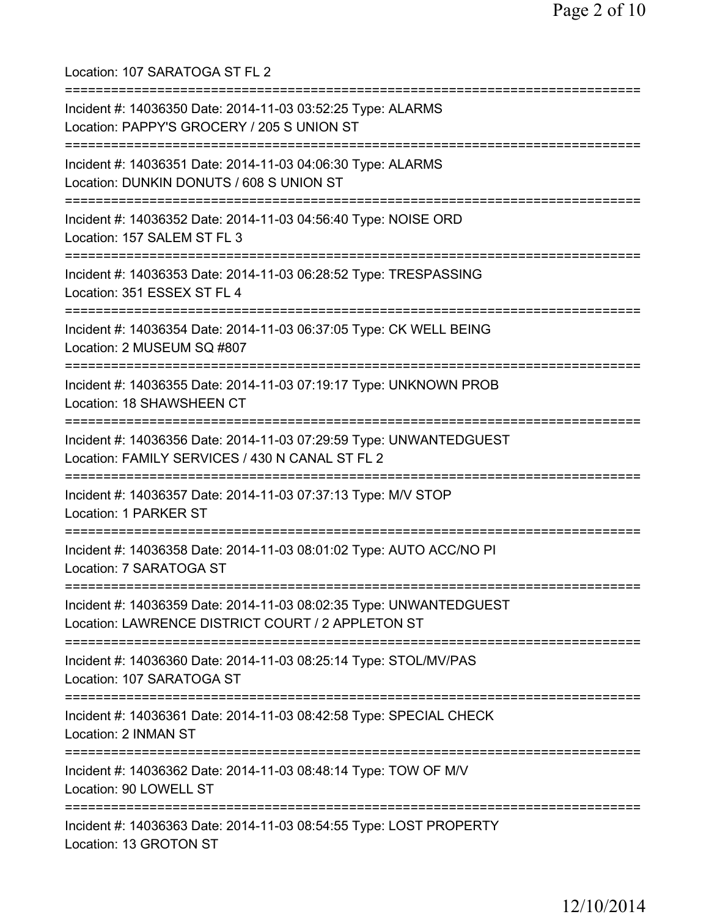Location: 107 SARATOGA ST FL 2 =========================================================================== Incident #: 14036350 Date: 2014-11-03 03:52:25 Type: ALARMS Location: PAPPY'S GROCERY / 205 S UNION ST =========================================================================== Incident #: 14036351 Date: 2014-11-03 04:06:30 Type: ALARMS Location: DUNKIN DONUTS / 608 S UNION ST =========================================================================== Incident #: 14036352 Date: 2014-11-03 04:56:40 Type: NOISE ORD Location: 157 SALEM ST FL 3 =========================================================================== Incident #: 14036353 Date: 2014-11-03 06:28:52 Type: TRESPASSING Location: 351 ESSEX ST FL 4 =========================================================================== Incident #: 14036354 Date: 2014-11-03 06:37:05 Type: CK WELL BEING Location: 2 MUSEUM SQ #807 =========================================================================== Incident #: 14036355 Date: 2014-11-03 07:19:17 Type: UNKNOWN PROB Location: 18 SHAWSHEEN CT =========================================================================== Incident #: 14036356 Date: 2014-11-03 07:29:59 Type: UNWANTEDGUEST Location: FAMILY SERVICES / 430 N CANAL ST FL 2 =========================================================================== Incident #: 14036357 Date: 2014-11-03 07:37:13 Type: M/V STOP Location: 1 PARKER ST =========================================================================== Incident #: 14036358 Date: 2014-11-03 08:01:02 Type: AUTO ACC/NO PI Location: 7 SARATOGA ST =========================================================================== Incident #: 14036359 Date: 2014-11-03 08:02:35 Type: UNWANTEDGUEST Location: LAWRENCE DISTRICT COURT / 2 APPLETON ST =========================================================================== Incident #: 14036360 Date: 2014-11-03 08:25:14 Type: STOL/MV/PAS Location: 107 SARATOGA ST =========================================================================== Incident #: 14036361 Date: 2014-11-03 08:42:58 Type: SPECIAL CHECK Location: 2 INMAN ST =========================================================================== Incident #: 14036362 Date: 2014-11-03 08:48:14 Type: TOW OF M/V Location: 90 LOWELL ST =========================================================================== Incident #: 14036363 Date: 2014-11-03 08:54:55 Type: LOST PROPERTY Location: 13 GROTON ST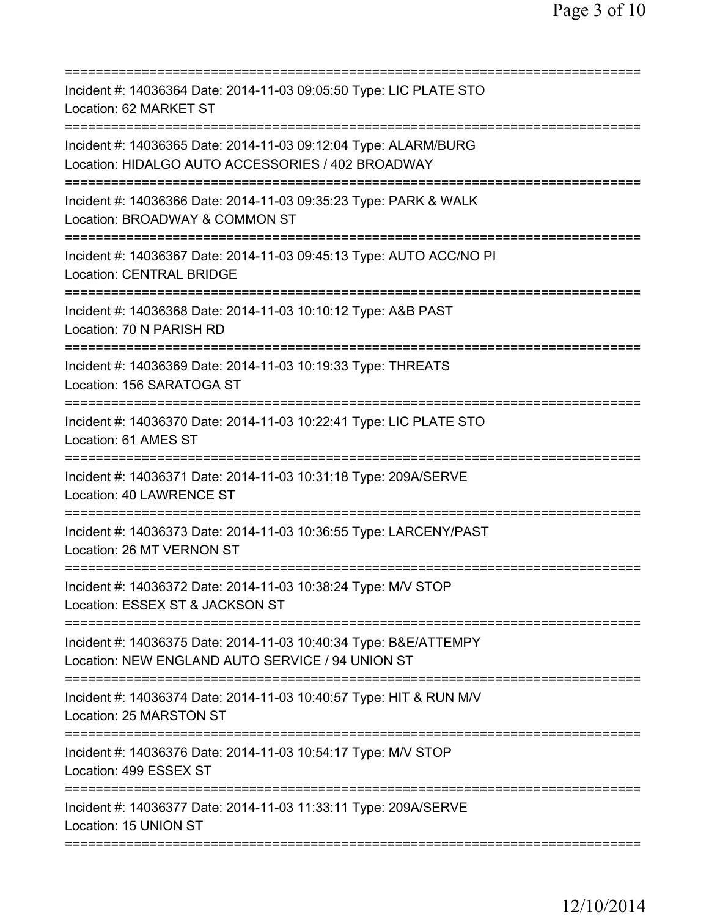| Incident #: 14036364 Date: 2014-11-03 09:05:50 Type: LIC PLATE STO<br>Location: 62 MARKET ST                                                                 |
|--------------------------------------------------------------------------------------------------------------------------------------------------------------|
| Incident #: 14036365 Date: 2014-11-03 09:12:04 Type: ALARM/BURG<br>Location: HIDALGO AUTO ACCESSORIES / 402 BROADWAY                                         |
| Incident #: 14036366 Date: 2014-11-03 09:35:23 Type: PARK & WALK<br>Location: BROADWAY & COMMON ST                                                           |
| Incident #: 14036367 Date: 2014-11-03 09:45:13 Type: AUTO ACC/NO PI<br><b>Location: CENTRAL BRIDGE</b>                                                       |
| Incident #: 14036368 Date: 2014-11-03 10:10:12 Type: A&B PAST<br>Location: 70 N PARISH RD                                                                    |
| Incident #: 14036369 Date: 2014-11-03 10:19:33 Type: THREATS<br>Location: 156 SARATOGA ST                                                                    |
| =====================================<br>Incident #: 14036370 Date: 2014-11-03 10:22:41 Type: LIC PLATE STO<br>Location: 61 AMES ST<br>===================== |
| Incident #: 14036371 Date: 2014-11-03 10:31:18 Type: 209A/SERVE<br>Location: 40 LAWRENCE ST                                                                  |
| Incident #: 14036373 Date: 2014-11-03 10:36:55 Type: LARCENY/PAST<br>Location: 26 MT VERNON ST                                                               |
| Incident #: 14036372 Date: 2014-11-03 10:38:24 Type: M/V STOP<br>Location: ESSEX ST & JACKSON ST                                                             |
| Incident #: 14036375 Date: 2014-11-03 10:40:34 Type: B&E/ATTEMPY<br>Location: NEW ENGLAND AUTO SERVICE / 94 UNION ST                                         |
| Incident #: 14036374 Date: 2014-11-03 10:40:57 Type: HIT & RUN M/V<br>Location: 25 MARSTON ST                                                                |
| Incident #: 14036376 Date: 2014-11-03 10:54:17 Type: M/V STOP<br>Location: 499 ESSEX ST                                                                      |
| Incident #: 14036377 Date: 2014-11-03 11:33:11 Type: 209A/SERVE<br>Location: 15 UNION ST                                                                     |
|                                                                                                                                                              |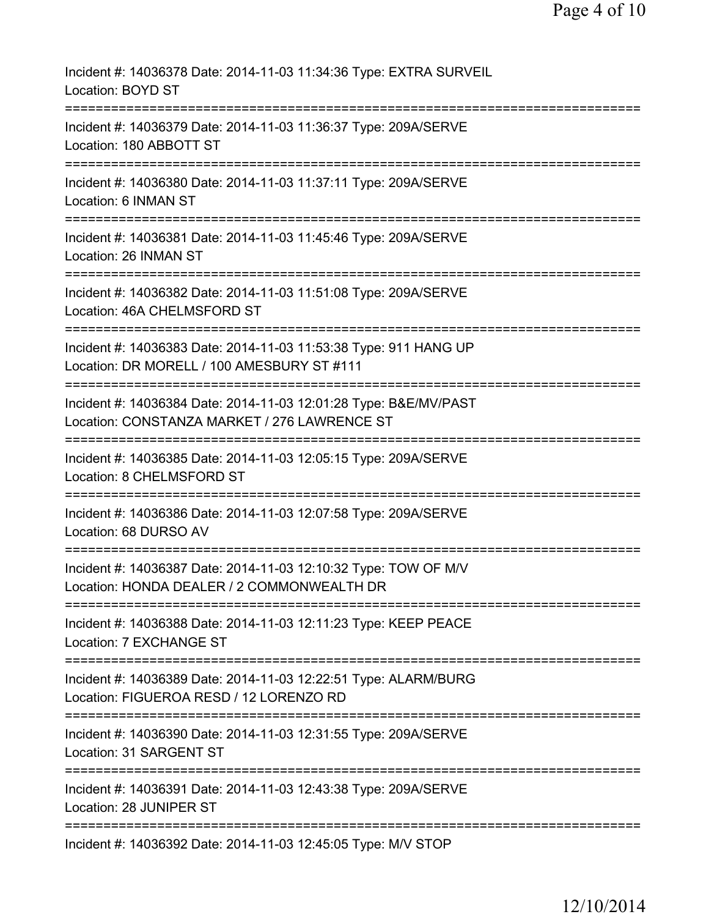| Incident #: 14036378 Date: 2014-11-03 11:34:36 Type: EXTRA SURVEIL<br>Location: BOYD ST                                            |
|------------------------------------------------------------------------------------------------------------------------------------|
| Incident #: 14036379 Date: 2014-11-03 11:36:37 Type: 209A/SERVE<br>Location: 180 ABBOTT ST                                         |
| Incident #: 14036380 Date: 2014-11-03 11:37:11 Type: 209A/SERVE<br>Location: 6 INMAN ST                                            |
| Incident #: 14036381 Date: 2014-11-03 11:45:46 Type: 209A/SERVE<br>Location: 26 INMAN ST                                           |
| ===================<br>Incident #: 14036382 Date: 2014-11-03 11:51:08 Type: 209A/SERVE<br>Location: 46A CHELMSFORD ST              |
| Incident #: 14036383 Date: 2014-11-03 11:53:38 Type: 911 HANG UP<br>Location: DR MORELL / 100 AMESBURY ST #111                     |
| Incident #: 14036384 Date: 2014-11-03 12:01:28 Type: B&E/MV/PAST<br>Location: CONSTANZA MARKET / 276 LAWRENCE ST                   |
| Incident #: 14036385 Date: 2014-11-03 12:05:15 Type: 209A/SERVE<br>Location: 8 CHELMSFORD ST                                       |
| Incident #: 14036386 Date: 2014-11-03 12:07:58 Type: 209A/SERVE<br>Location: 68 DURSO AV                                           |
| Incident #: 14036387 Date: 2014-11-03 12:10:32 Type: TOW OF M/V<br>Location: HONDA DEALER / 2 COMMONWEALTH DR                      |
| Incident #: 14036388 Date: 2014-11-03 12:11:23 Type: KEEP PEACE<br>Location: 7 EXCHANGE ST                                         |
| Incident #: 14036389 Date: 2014-11-03 12:22:51 Type: ALARM/BURG<br>Location: FIGUEROA RESD / 12 LORENZO RD                         |
| ====================================<br>Incident #: 14036390 Date: 2014-11-03 12:31:55 Type: 209A/SERVE<br>Location: 31 SARGENT ST |
| Incident #: 14036391 Date: 2014-11-03 12:43:38 Type: 209A/SERVE<br>Location: 28 JUNIPER ST                                         |
| Incident #: 14036392 Date: 2014-11-03 12:45:05 Type: M/V STOP                                                                      |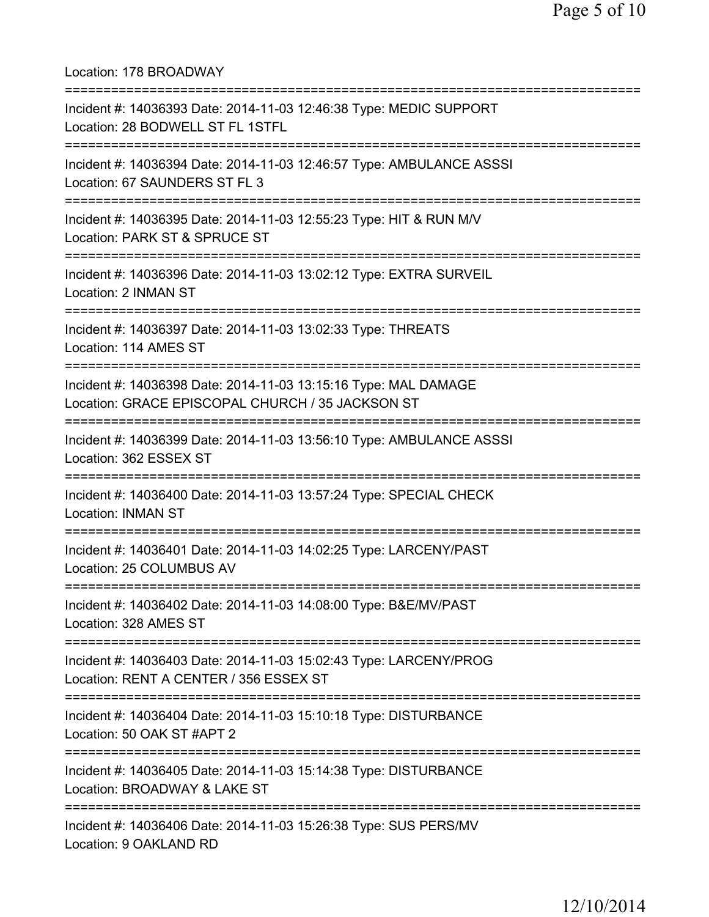Location: 178 BROADWAY =========================================================================== Incident #: 14036393 Date: 2014-11-03 12:46:38 Type: MEDIC SUPPORT Location: 28 BODWELL ST FL 1STFL =========================================================================== Incident #: 14036394 Date: 2014-11-03 12:46:57 Type: AMBULANCE ASSSI Location: 67 SAUNDERS ST FL 3 =========================================================================== Incident #: 14036395 Date: 2014-11-03 12:55:23 Type: HIT & RUN M/V Location: PARK ST & SPRUCE ST =========================================================================== Incident #: 14036396 Date: 2014-11-03 13:02:12 Type: EXTRA SURVEIL Location: 2 INMAN ST =========================================================================== Incident #: 14036397 Date: 2014-11-03 13:02:33 Type: THREATS Location: 114 AMES ST =========================================================================== Incident #: 14036398 Date: 2014-11-03 13:15:16 Type: MAL DAMAGE Location: GRACE EPISCOPAL CHURCH / 35 JACKSON ST =========================================================================== Incident #: 14036399 Date: 2014-11-03 13:56:10 Type: AMBULANCE ASSSI Location: 362 ESSEX ST =========================================================================== Incident #: 14036400 Date: 2014-11-03 13:57:24 Type: SPECIAL CHECK Location: INMAN ST =========================================================================== Incident #: 14036401 Date: 2014-11-03 14:02:25 Type: LARCENY/PAST Location: 25 COLUMBUS AV =========================================================================== Incident #: 14036402 Date: 2014-11-03 14:08:00 Type: B&E/MV/PAST Location: 328 AMES ST =========================================================================== Incident #: 14036403 Date: 2014-11-03 15:02:43 Type: LARCENY/PROG Location: RENT A CENTER / 356 ESSEX ST =========================================================================== Incident #: 14036404 Date: 2014-11-03 15:10:18 Type: DISTURBANCE Location: 50 OAK ST #APT 2 =========================================================================== Incident #: 14036405 Date: 2014-11-03 15:14:38 Type: DISTURBANCE Location: BROADWAY & LAKE ST =========================================================================== Incident #: 14036406 Date: 2014-11-03 15:26:38 Type: SUS PERS/MV Location: 9 OAKLAND RD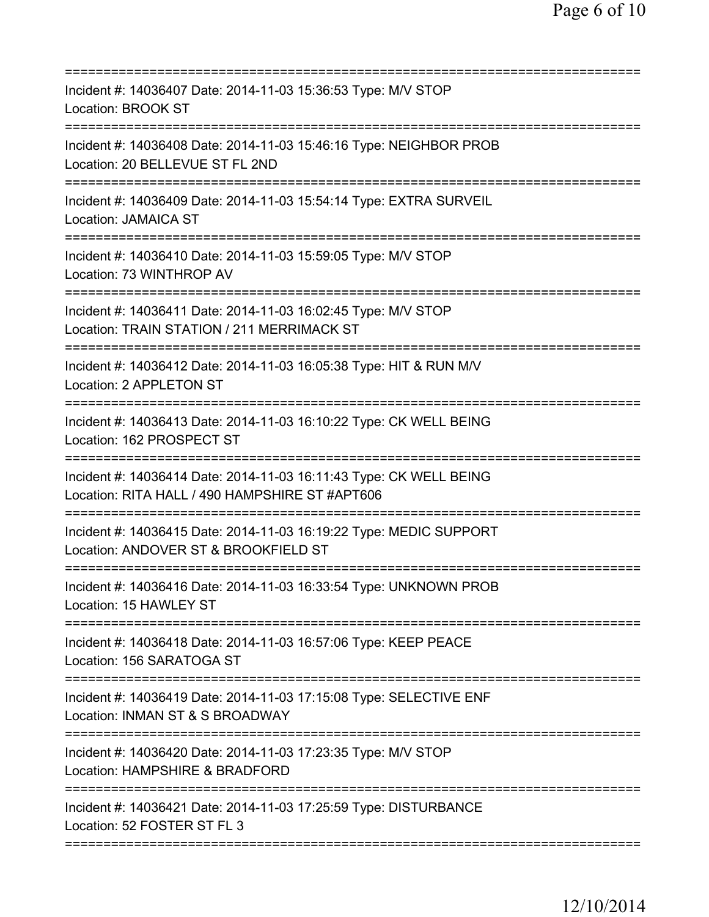| Incident #: 14036407 Date: 2014-11-03 15:36:53 Type: M/V STOP<br>Location: BROOK ST                                                  |
|--------------------------------------------------------------------------------------------------------------------------------------|
| Incident #: 14036408 Date: 2014-11-03 15:46:16 Type: NEIGHBOR PROB<br>Location: 20 BELLEVUE ST FL 2ND<br>=========================== |
| Incident #: 14036409 Date: 2014-11-03 15:54:14 Type: EXTRA SURVEIL<br><b>Location: JAMAICA ST</b>                                    |
| Incident #: 14036410 Date: 2014-11-03 15:59:05 Type: M/V STOP<br>Location: 73 WINTHROP AV                                            |
| Incident #: 14036411 Date: 2014-11-03 16:02:45 Type: M/V STOP<br>Location: TRAIN STATION / 211 MERRIMACK ST                          |
| Incident #: 14036412 Date: 2014-11-03 16:05:38 Type: HIT & RUN M/V<br>Location: 2 APPLETON ST                                        |
| Incident #: 14036413 Date: 2014-11-03 16:10:22 Type: CK WELL BEING<br>Location: 162 PROSPECT ST                                      |
| Incident #: 14036414 Date: 2014-11-03 16:11:43 Type: CK WELL BEING<br>Location: RITA HALL / 490 HAMPSHIRE ST #APT606                 |
| Incident #: 14036415 Date: 2014-11-03 16:19:22 Type: MEDIC SUPPORT<br>Location: ANDOVER ST & BROOKFIELD ST                           |
| Incident #: 14036416 Date: 2014-11-03 16:33:54 Type: UNKNOWN PROB<br>Location: 15 HAWLEY ST                                          |
| ;===================================<br>Incident #: 14036418 Date: 2014-11-03 16:57:06 Type: KEEP PEACE<br>Location: 156 SARATOGA ST |
| Incident #: 14036419 Date: 2014-11-03 17:15:08 Type: SELECTIVE ENF<br>Location: INMAN ST & S BROADWAY                                |
| Incident #: 14036420 Date: 2014-11-03 17:23:35 Type: M/V STOP<br>Location: HAMPSHIRE & BRADFORD                                      |
| Incident #: 14036421 Date: 2014-11-03 17:25:59 Type: DISTURBANCE<br>Location: 52 FOSTER ST FL 3                                      |
|                                                                                                                                      |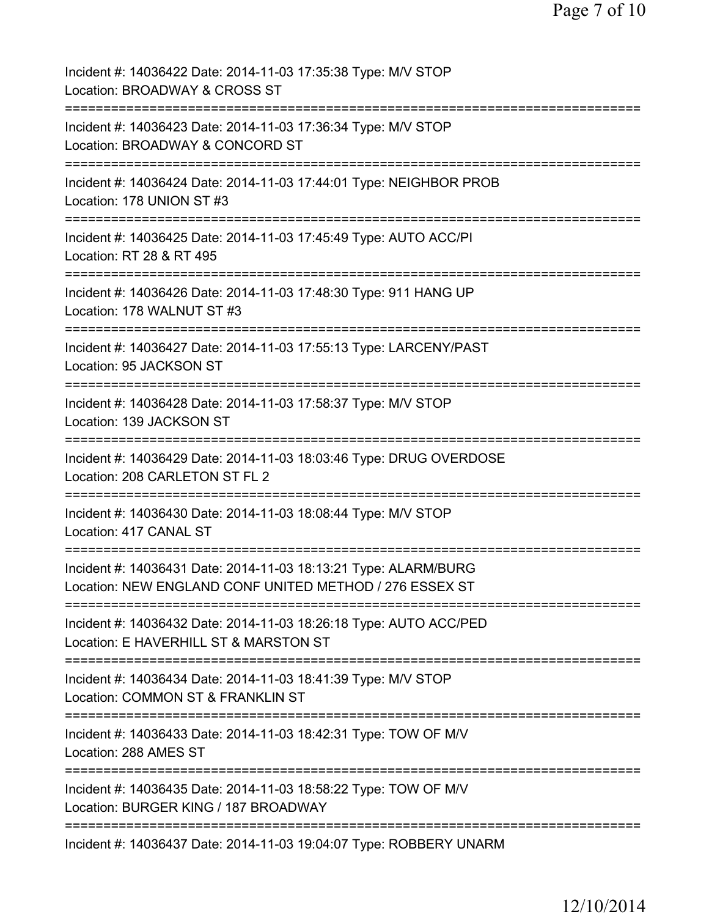| Incident #: 14036422 Date: 2014-11-03 17:35:38 Type: M/V STOP<br>Location: BROADWAY & CROSS ST                                                   |
|--------------------------------------------------------------------------------------------------------------------------------------------------|
| Incident #: 14036423 Date: 2014-11-03 17:36:34 Type: M/V STOP<br>Location: BROADWAY & CONCORD ST                                                 |
| Incident #: 14036424 Date: 2014-11-03 17:44:01 Type: NEIGHBOR PROB<br>Location: 178 UNION ST #3                                                  |
| Incident #: 14036425 Date: 2014-11-03 17:45:49 Type: AUTO ACC/PI<br>Location: RT 28 & RT 495                                                     |
| Incident #: 14036426 Date: 2014-11-03 17:48:30 Type: 911 HANG UP<br>Location: 178 WALNUT ST #3                                                   |
| Incident #: 14036427 Date: 2014-11-03 17:55:13 Type: LARCENY/PAST<br>Location: 95 JACKSON ST                                                     |
| Incident #: 14036428 Date: 2014-11-03 17:58:37 Type: M/V STOP<br>Location: 139 JACKSON ST                                                        |
| Incident #: 14036429 Date: 2014-11-03 18:03:46 Type: DRUG OVERDOSE<br>Location: 208 CARLETON ST FL 2                                             |
| Incident #: 14036430 Date: 2014-11-03 18:08:44 Type: M/V STOP<br>Location: 417 CANAL ST                                                          |
| ------------------<br>Incident #: 14036431 Date: 2014-11-03 18:13:21 Type: ALARM/BURG<br>Location: NEW ENGLAND CONF UNITED METHOD / 276 ESSEX ST |
| Incident #: 14036432 Date: 2014-11-03 18:26:18 Type: AUTO ACC/PED<br>Location: E HAVERHILL ST & MARSTON ST                                       |
| Incident #: 14036434 Date: 2014-11-03 18:41:39 Type: M/V STOP<br>Location: COMMON ST & FRANKLIN ST                                               |
| Incident #: 14036433 Date: 2014-11-03 18:42:31 Type: TOW OF M/V<br>Location: 288 AMES ST                                                         |
| Incident #: 14036435 Date: 2014-11-03 18:58:22 Type: TOW OF M/V<br>Location: BURGER KING / 187 BROADWAY                                          |
| Incident #: 14036437 Date: 2014-11-03 19:04:07 Type: ROBBERY UNARM                                                                               |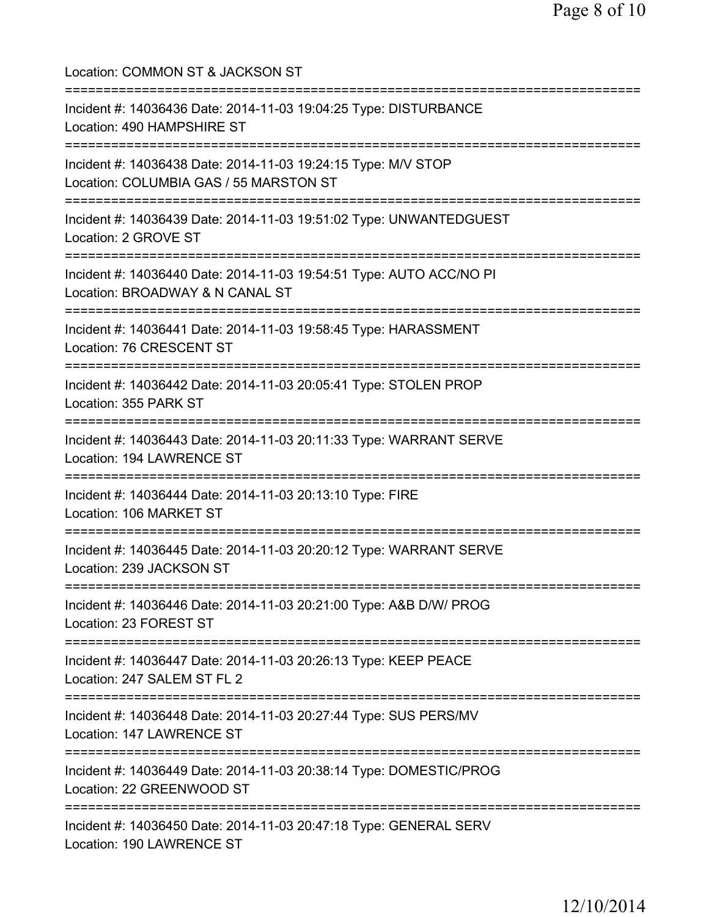Location: COMMON ST & JACKSON ST =========================================================================== Incident #: 14036436 Date: 2014-11-03 19:04:25 Type: DISTURBANCE Location: 490 HAMPSHIRE ST =========================================================================== Incident #: 14036438 Date: 2014-11-03 19:24:15 Type: M/V STOP Location: COLUMBIA GAS / 55 MARSTON ST =========================================================================== Incident #: 14036439 Date: 2014-11-03 19:51:02 Type: UNWANTEDGUEST Location: 2 GROVE ST =========================================================================== Incident #: 14036440 Date: 2014-11-03 19:54:51 Type: AUTO ACC/NO PI Location: BROADWAY & N CANAL ST =========================================================================== Incident #: 14036441 Date: 2014-11-03 19:58:45 Type: HARASSMENT Location: 76 CRESCENT ST =========================================================================== Incident #: 14036442 Date: 2014-11-03 20:05:41 Type: STOLEN PROP Location: 355 PARK ST =========================================================================== Incident #: 14036443 Date: 2014-11-03 20:11:33 Type: WARRANT SERVE Location: 194 LAWRENCE ST =========================================================================== Incident #: 14036444 Date: 2014-11-03 20:13:10 Type: FIRE Location: 106 MARKET ST =========================================================================== Incident #: 14036445 Date: 2014-11-03 20:20:12 Type: WARRANT SERVE Location: 239 JACKSON ST =========================================================================== Incident #: 14036446 Date: 2014-11-03 20:21:00 Type: A&B D/W/ PROG Location: 23 FOREST ST =========================================================================== Incident #: 14036447 Date: 2014-11-03 20:26:13 Type: KEEP PEACE Location: 247 SALEM ST FL 2 =========================================================================== Incident #: 14036448 Date: 2014-11-03 20:27:44 Type: SUS PERS/MV Location: 147 LAWRENCE ST =========================================================================== Incident #: 14036449 Date: 2014-11-03 20:38:14 Type: DOMESTIC/PROG Location: 22 GREENWOOD ST =========================================================================== Incident #: 14036450 Date: 2014-11-03 20:47:18 Type: GENERAL SERV Location: 190 LAWRENCE ST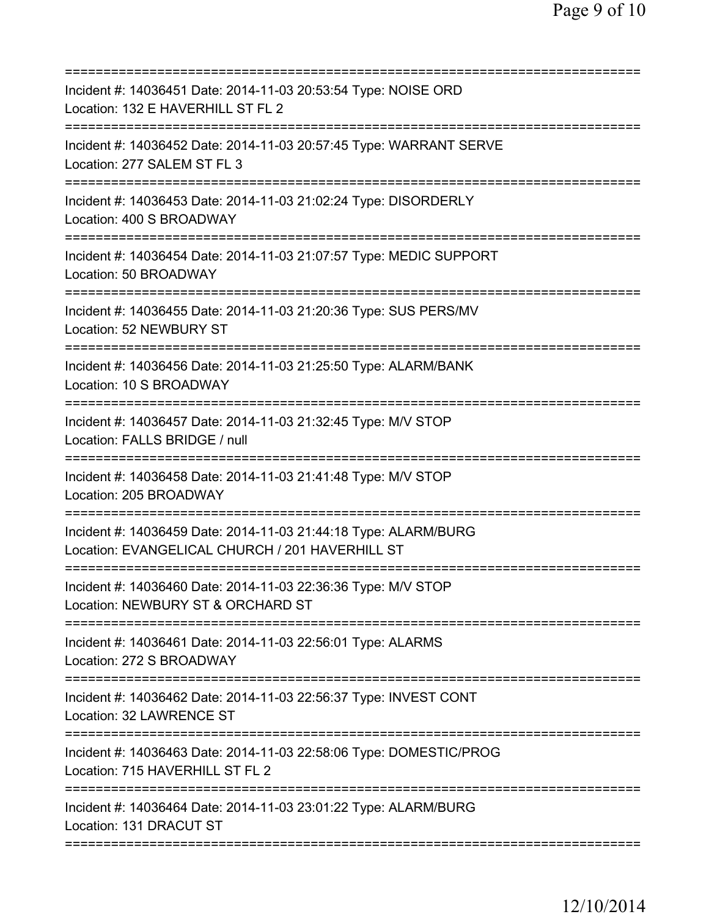| Incident #: 14036451 Date: 2014-11-03 20:53:54 Type: NOISE ORD<br>Location: 132 E HAVERHILL ST FL 2                |
|--------------------------------------------------------------------------------------------------------------------|
| Incident #: 14036452 Date: 2014-11-03 20:57:45 Type: WARRANT SERVE<br>Location: 277 SALEM ST FL 3                  |
| Incident #: 14036453 Date: 2014-11-03 21:02:24 Type: DISORDERLY<br>Location: 400 S BROADWAY                        |
| Incident #: 14036454 Date: 2014-11-03 21:07:57 Type: MEDIC SUPPORT<br>Location: 50 BROADWAY                        |
| Incident #: 14036455 Date: 2014-11-03 21:20:36 Type: SUS PERS/MV<br>Location: 52 NEWBURY ST                        |
| Incident #: 14036456 Date: 2014-11-03 21:25:50 Type: ALARM/BANK<br>Location: 10 S BROADWAY                         |
| Incident #: 14036457 Date: 2014-11-03 21:32:45 Type: M/V STOP<br>Location: FALLS BRIDGE / null                     |
| Incident #: 14036458 Date: 2014-11-03 21:41:48 Type: M/V STOP<br>Location: 205 BROADWAY                            |
| Incident #: 14036459 Date: 2014-11-03 21:44:18 Type: ALARM/BURG<br>Location: EVANGELICAL CHURCH / 201 HAVERHILL ST |
| Incident #: 14036460 Date: 2014-11-03 22:36:36 Type: M/V STOP<br>Location: NEWBURY ST & ORCHARD ST                 |
| Incident #: 14036461 Date: 2014-11-03 22:56:01 Type: ALARMS<br>Location: 272 S BROADWAY                            |
| Incident #: 14036462 Date: 2014-11-03 22:56:37 Type: INVEST CONT<br>Location: 32 LAWRENCE ST                       |
| Incident #: 14036463 Date: 2014-11-03 22:58:06 Type: DOMESTIC/PROG<br>Location: 715 HAVERHILL ST FL 2              |
| Incident #: 14036464 Date: 2014-11-03 23:01:22 Type: ALARM/BURG<br>Location: 131 DRACUT ST                         |
|                                                                                                                    |